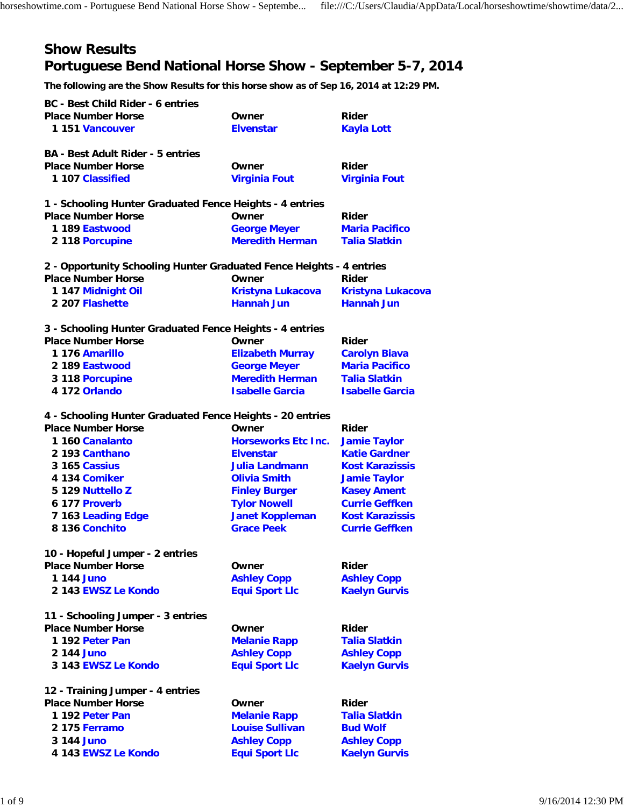# **Show Results Portuguese Bend National Horse Show - September 5-7, 2014**

**The following are the Show Results for this horse show as of Sep 16, 2014 at 12:29 PM.**

| <b>BC</b> - Best Child Rider - 6 entries                             |                            |                          |
|----------------------------------------------------------------------|----------------------------|--------------------------|
| <b>Place Number Horse</b>                                            | Owner                      | Rider                    |
| 1 151 Vancouver                                                      | <b>Elvenstar</b>           | <b>Kayla Lott</b>        |
| <b>BA - Best Adult Rider - 5 entries</b>                             |                            |                          |
| <b>Place Number Horse</b>                                            | Owner                      | Rider                    |
| 1 107 Classified                                                     | <b>Virginia Fout</b>       | <b>Virginia Fout</b>     |
| 1 - Schooling Hunter Graduated Fence Heights - 4 entries             |                            |                          |
| <b>Place Number Horse</b>                                            | Owner                      | Rider                    |
| 1 189 Eastwood                                                       | <b>George Meyer</b>        | <b>Maria Pacifico</b>    |
| 2 118 Porcupine                                                      | <b>Meredith Herman</b>     | <b>Talia Slatkin</b>     |
| 2 - Opportunity Schooling Hunter Graduated Fence Heights - 4 entries |                            |                          |
| <b>Place Number Horse</b>                                            | Owner                      | Rider                    |
| 1 147 Midnight Oil                                                   | Kristyna Lukacova          | <b>Kristyna Lukacova</b> |
| 2 207 Flashette                                                      | <b>Hannah Jun</b>          | <b>Hannah Jun</b>        |
| 3 - Schooling Hunter Graduated Fence Heights - 4 entries             |                            |                          |
| <b>Place Number Horse</b>                                            | Owner                      | Rider                    |
| 1 176 Amarillo                                                       | <b>Elizabeth Murray</b>    | <b>Carolyn Biava</b>     |
| 2 189 Eastwood                                                       | <b>George Meyer</b>        | <b>Maria Pacifico</b>    |
| 3 118 Porcupine                                                      | <b>Meredith Herman</b>     | <b>Talia Slatkin</b>     |
| 4 172 Orlando                                                        | <b>Isabelle Garcia</b>     | <b>Isabelle Garcia</b>   |
| 4 - Schooling Hunter Graduated Fence Heights - 20 entries            |                            |                          |
| <b>Place Number Horse</b>                                            | Owner                      | Rider                    |
| 1 160 Canalanto                                                      | <b>Horseworks Etc Inc.</b> | <b>Jamie Taylor</b>      |
| 2 193 Canthano                                                       | <b>Elvenstar</b>           | <b>Katie Gardner</b>     |
| 3 165 Cassius                                                        | <b>Julia Landmann</b>      | <b>Kost Karazissis</b>   |
| 4 134 Comiker                                                        | <b>Olivia Smith</b>        | <b>Jamie Taylor</b>      |
| 5 129 Nuttello Z                                                     | <b>Finley Burger</b>       | <b>Kasey Ament</b>       |
| 6 177 Proverb                                                        | <b>Tylor Nowell</b>        | <b>Currie Geffken</b>    |
| 7 163 Leading Edge                                                   | <b>Janet Koppleman</b>     | <b>Kost Karazissis</b>   |
| 8 136 Conchito                                                       | <b>Grace Peek</b>          | <b>Currie Geffken</b>    |
| 10 - Hopeful Jumper - 2 entries                                      |                            |                          |
| <b>Place Number Horse</b>                                            | Owner                      | <b>Rider</b>             |
| 1 144 Juno                                                           | <b>Ashley Copp</b>         | <b>Ashley Copp</b>       |
| 2 143 EWSZ Le Kondo                                                  | <b>Equi Sport Llc</b>      | <b>Kaelyn Gurvis</b>     |
| 11 - Schooling Jumper - 3 entries                                    |                            |                          |
| <b>Place Number Horse</b>                                            | Owner                      | <b>Rider</b>             |
| 1 192 Peter Pan                                                      | <b>Melanie Rapp</b>        | <b>Talia Slatkin</b>     |
| 2 144 Juno                                                           | <b>Ashley Copp</b>         | <b>Ashley Copp</b>       |
| 3 143 EWSZ Le Kondo                                                  | <b>Equi Sport Llc</b>      | <b>Kaelyn Gurvis</b>     |
| 12 - Training Jumper - 4 entries                                     |                            |                          |
| <b>Place Number Horse</b>                                            | Owner                      | <b>Rider</b>             |
| 1 192 Peter Pan                                                      | <b>Melanie Rapp</b>        | <b>Talia Slatkin</b>     |
| 2 175 Ferramo                                                        | <b>Louise Sullivan</b>     | <b>Bud Wolf</b>          |
| 3 144 Juno                                                           | <b>Ashley Copp</b>         | <b>Ashley Copp</b>       |
| 4 143 EWSZ Le Kondo                                                  | <b>Equi Sport Llc</b>      | <b>Kaelyn Gurvis</b>     |
|                                                                      |                            |                          |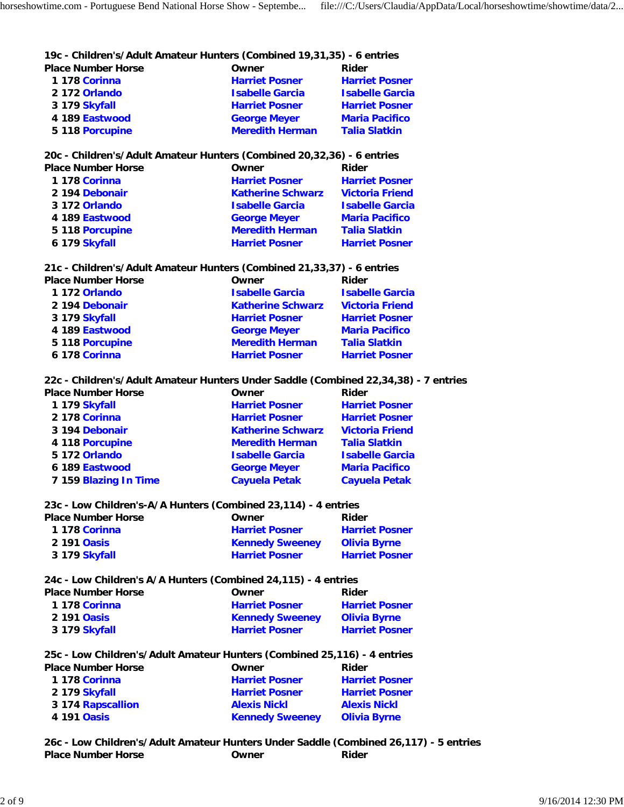#### **19c - Children's/Adult Amateur Hunters (Combined 19,31,35) - 6 entries**

| <b>Place Number Horse</b> | Owner                  | Rider                  |
|---------------------------|------------------------|------------------------|
| 1 178 Corinna             | <b>Harriet Posner</b>  | <b>Harriet Posner</b>  |
| 2 172 Orlando             | <b>Isabelle Garcia</b> | <b>Isabelle Garcia</b> |
| 3 179 Skyfall             | <b>Harriet Posner</b>  | <b>Harriet Posner</b>  |
| 4 189 Eastwood            | <b>George Meyer</b>    | <b>Maria Pacifico</b>  |
| 5 118 Porcupine           | <b>Meredith Herman</b> | <b>Talia Slatkin</b>   |

**20c - Children's/Adult Amateur Hunters (Combined 20,32,36) - 6 entries**

| <b>Place Number Horse</b> | Owner                    | Rider                  |
|---------------------------|--------------------------|------------------------|
| 1 178 Corinna             | <b>Harriet Posner</b>    | <b>Harriet Posner</b>  |
| 2 194 Debonair            | <b>Katherine Schwarz</b> | <b>Victoria Friend</b> |
| 3 172 Orlando             | <b>Isabelle Garcia</b>   | <b>Isabelle Garcia</b> |
| 4 189 Eastwood            | <b>George Meyer</b>      | <b>Maria Pacifico</b>  |
| 5 118 Porcupine           | <b>Meredith Herman</b>   | <b>Talia Slatkin</b>   |
| 6 179 Skyfall             | <b>Harriet Posner</b>    | <b>Harriet Posner</b>  |

### **21c - Children's/Adult Amateur Hunters (Combined 21,33,37) - 6 entries**

| <b>Place Number Horse</b><br>Owner<br>Rider |                        |
|---------------------------------------------|------------------------|
| 1 172 Orlando<br><b>Isabelle Garcia</b>     | <b>Isabelle Garcia</b> |
| 2 194 Debonair<br><b>Katherine Schwarz</b>  | <b>Victoria Friend</b> |
| 3 179 Skyfall<br><b>Harriet Posner</b>      | <b>Harriet Posner</b>  |
| 4 189 Eastwood<br><b>George Meyer</b>       | <b>Maria Pacifico</b>  |
| <b>Meredith Herman</b><br>5 118 Porcupine   | <b>Talia Slatkin</b>   |
| 6 178 Corinna<br><b>Harriet Posner</b>      | <b>Harriet Posner</b>  |

### **22c - Children's/Adult Amateur Hunters Under Saddle (Combined 22,34,38) - 7 entries**

| <b>Place Number Horse</b> | Owner                    | <b>Rider</b>           |
|---------------------------|--------------------------|------------------------|
| 1 179 Skyfall             | <b>Harriet Posner</b>    | <b>Harriet Posner</b>  |
| 2 178 Corinna             | <b>Harriet Posner</b>    | <b>Harriet Posner</b>  |
| 3 194 Debonair            | <b>Katherine Schwarz</b> | <b>Victoria Friend</b> |
| 4 118 Porcupine           | <b>Meredith Herman</b>   | <b>Talia Slatkin</b>   |
| 5 172 Orlando             | <b>Isabelle Garcia</b>   | <b>Isabelle Garcia</b> |
| 6 189 Eastwood            | <b>George Meyer</b>      | <b>Maria Pacifico</b>  |
| 7 159 Blazing In Time     | <b>Cayuela Petak</b>     | <b>Cayuela Petak</b>   |

#### **23c - Low Children's-A/A Hunters (Combined 23,114) - 4 entries**

| <b>Place Number Horse</b> | Owner                  | Rider                 |
|---------------------------|------------------------|-----------------------|
| 1 178 Corinna             | <b>Harriet Posner</b>  | <b>Harriet Posner</b> |
| 2 191 Oasis               | <b>Kennedy Sweeney</b> | <b>Olivia Byrne</b>   |
| 3 179 Skyfall             | <b>Harriet Posner</b>  | <b>Harriet Posner</b> |

#### **24c - Low Children's A/A Hunters (Combined 24,115) - 4 entries**

| <b>Place Number Horse</b> | Owner                  | Rider                 |
|---------------------------|------------------------|-----------------------|
| 1 178 Corinna             | <b>Harriet Posner</b>  | <b>Harriet Posner</b> |
| 2 191 Oasis               | <b>Kennedy Sweeney</b> | <b>Olivia Byrne</b>   |
| 3 179 Skyfall             | <b>Harriet Posner</b>  | <b>Harriet Posner</b> |
|                           |                        |                       |

| 25c - Low Children's/Adult Amateur Hunters (Combined 25,116) - 4 entries |                       |
|--------------------------------------------------------------------------|-----------------------|
| Owner                                                                    | Rider                 |
| <b>Harriet Posner</b>                                                    | <b>Harriet Posner</b> |
| <b>Harriet Posner</b>                                                    | <b>Harriet Posner</b> |
| <b>Alexis Nickl</b>                                                      | <b>Alexis Nickl</b>   |
| <b>Kennedy Sweeney</b>                                                   | <b>Olivia Byrne</b>   |
|                                                                          |                       |

**26c - Low Children's/Adult Amateur Hunters Under Saddle (Combined 26,117) - 5 entries Place Number Horse Community Community Community Place Number Horse Community Community Place Rider**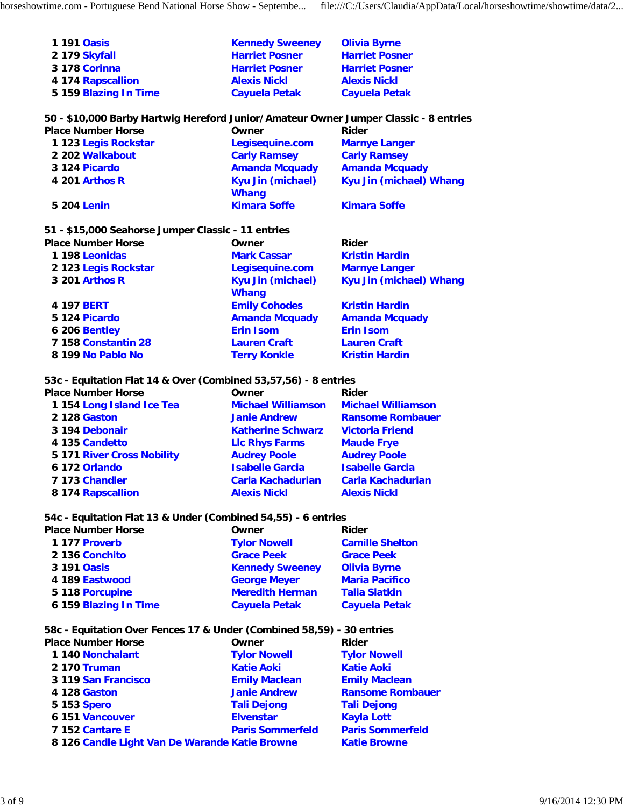| 1 191 Oasis           | <b>Kennedy Sweeney</b> | <b>Olivia Byrne</b>   |
|-----------------------|------------------------|-----------------------|
| 2 179 Skyfall         | <b>Harriet Posner</b>  | <b>Harriet Posner</b> |
| 3 178 Corinna         | <b>Harriet Posner</b>  | <b>Harriet Posner</b> |
| 4 174 Rapscallion     | <b>Alexis Nickl</b>    | <b>Alexis Nickl</b>   |
| 5 159 Blazing In Time | <b>Cayuela Petak</b>   | <b>Cayuela Petak</b>  |

## **50 - \$10,000 Barby Hartwig Hereford Junior/Amateur Owner Jumper Classic - 8 entries**

| <b>Place Number Horse</b> | Owner                                    | Rider                   |
|---------------------------|------------------------------------------|-------------------------|
| 1 123 Legis Rockstar      | Legisequine.com                          | <b>Marnye Langer</b>    |
| 2 202 Walkabout           | <b>Carly Ramsey</b>                      | <b>Carly Ramsey</b>     |
| 3 124 Picardo             | <b>Amanda Mcguady</b>                    | <b>Amanda Mcguady</b>   |
| 4 201 Arthos R            | <b>Kyu Jin (michael)</b><br><b>Whang</b> | Kyu Jin (michael) Whang |
| 5 204 Lenin               | <b>Kimara Soffe</b>                      | <b>Kimara Soffe</b>     |

## **51 - \$15,000 Seahorse Jumper Classic - 11 entries**

| <b>Place Number Horse</b> | Owner                                    | Rider                   |
|---------------------------|------------------------------------------|-------------------------|
| 1 198 Leonidas            | <b>Mark Cassar</b>                       | <b>Kristin Hardin</b>   |
| 2 123 Legis Rockstar      | Legisequine.com                          | <b>Marnye Langer</b>    |
| 3 201 Arthos R            | <b>Kyu Jin (michael)</b><br><b>Whang</b> | Kyu Jin (michael) Whang |
| 4 197 <b>BERT</b>         | <b>Emily Cohodes</b>                     | <b>Kristin Hardin</b>   |
| 5 124 Picardo             | <b>Amanda Mcquady</b>                    | <b>Amanda Mcguady</b>   |
| 6 206 Bentley             | <b>Erin Isom</b>                         | <b>Erin Isom</b>        |
| 7 158 Constantin 28       | <b>Lauren Craft</b>                      | <b>Lauren Craft</b>     |
| 8 199 No Pablo No         | <b>Terry Konkle</b>                      | <b>Kristin Hardin</b>   |

## **53c - Equitation Flat 14 & Over (Combined 53,57,56) - 8 entries**

| <b>Place Number Horse</b>  | Owner                     | Rider                     |
|----------------------------|---------------------------|---------------------------|
| 1154 Long Island Ice Tea   | <b>Michael Williamson</b> | <b>Michael Williamson</b> |
| 2 128 Gaston               | <b>Janie Andrew</b>       | <b>Ransome Rombauer</b>   |
| 3 194 Debonair             | <b>Katherine Schwarz</b>  | <b>Victoria Friend</b>    |
| 4 135 Candetto             | <b>LIc Rhys Farms</b>     | <b>Maude Frye</b>         |
| 5 171 River Cross Nobility | <b>Audrey Poole</b>       | <b>Audrey Poole</b>       |
| 6 172 Orlando              | <b>Isabelle Garcia</b>    | <b>Isabelle Garcia</b>    |
| 7 173 Chandler             | <b>Carla Kachadurian</b>  | <b>Carla Kachadurian</b>  |
| 8 174 Rapscallion          | <b>Alexis Nickl</b>       | <b>Alexis Nickl</b>       |

## **54c - Equitation Flat 13 & Under (Combined 54,55) - 6 entries**

| <b>Place Number Horse</b> | Owner                  | Rider                  |
|---------------------------|------------------------|------------------------|
| 1 177 Proverb             | <b>Tylor Nowell</b>    | <b>Camille Shelton</b> |
| 2 136 Conchito            | <b>Grace Peek</b>      | <b>Grace Peek</b>      |
| 3 191 Oasis               | <b>Kennedy Sweeney</b> | <b>Olivia Byrne</b>    |
| 4 189 Eastwood            | <b>George Meyer</b>    | <b>Maria Pacifico</b>  |
| 5 118 Porcupine           | <b>Meredith Herman</b> | <b>Talia Slatkin</b>   |
| 6 159 Blazing In Time     | <b>Cayuela Petak</b>   | <b>Cayuela Petak</b>   |

## **58c - Equitation Over Fences 17 & Under (Combined 58,59) - 30 entries**

| <b>Place Number Horse</b>                      | Owner                   | Rider                   |
|------------------------------------------------|-------------------------|-------------------------|
| 1 140 Nonchalant                               | <b>Tylor Nowell</b>     | <b>Tylor Nowell</b>     |
| 2 170 Truman                                   | <b>Katie Aoki</b>       | <b>Katie Aoki</b>       |
| 3 119 San Francisco                            | <b>Emily Maclean</b>    | <b>Emily Maclean</b>    |
| 4 128 Gaston                                   | <b>Janie Andrew</b>     | <b>Ransome Rombauer</b> |
| 5 153 Spero                                    | <b>Tali Dejong</b>      | <b>Tali Dejong</b>      |
| 6 151 Vancouver                                | <b>Elvenstar</b>        | <b>Kayla Lott</b>       |
| 7 152 Cantare E                                | <b>Paris Sommerfeld</b> | <b>Paris Sommerfeld</b> |
| 8 126 Candle Light Van De Warande Katie Browne |                         | <b>Katie Browne</b>     |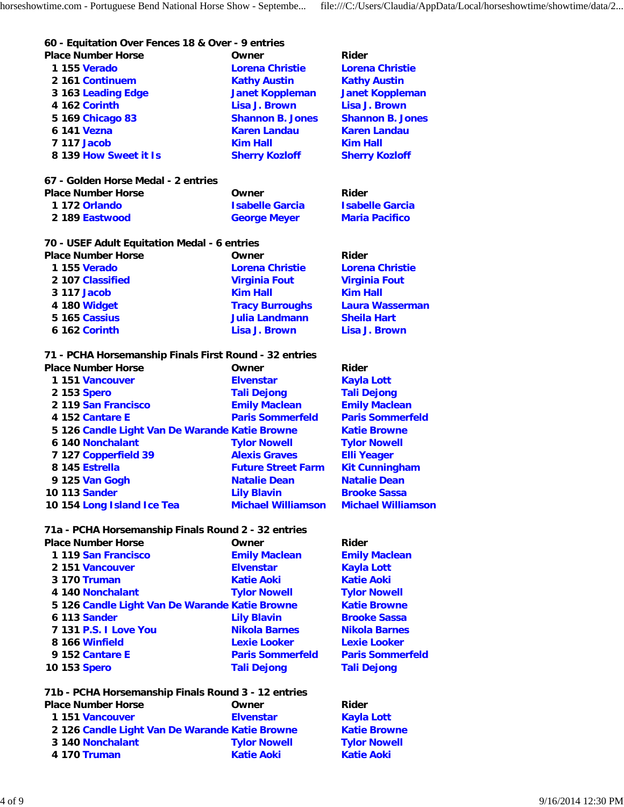#### **60 - Equitation Over Fences 18 & Over - 9 entries Place Number Horse Community Community Community Place Number Adder**

| 1 155 Verado                        | <b>Lorena Christie</b>  | <b>Lorena Christie</b>  |
|-------------------------------------|-------------------------|-------------------------|
| 2 161 Continuem                     | <b>Kathy Austin</b>     | <b>Kathy Austin</b>     |
| 3 163 Leading Edge                  | <b>Janet Koppleman</b>  | <b>Janet Koppleman</b>  |
| 4 162 Corinth                       | Lisa J. Brown           | Lisa J. Brown           |
| 5 169 Chicago 83                    | <b>Shannon B. Jones</b> | <b>Shannon B. Jones</b> |
| 6 141 Vezna                         | <b>Karen Landau</b>     | <b>Karen Landau</b>     |
| <b>7 117 Jacob</b>                  | <b>Kim Hall</b>         | <b>Kim Hall</b>         |
| 8 139 How Sweet it Is               | <b>Sherry Kozloff</b>   | <b>Sherry Kozloff</b>   |
| 67 - Golden Horse Medal - 2 entries |                         |                         |
| <b>Place Number Horse</b>           | ∩wner                   | Rider                   |

| Place Number Horse | Owner                  | <b>Rider</b>           |
|--------------------|------------------------|------------------------|
| 1 172 Orlando      | <b>Isabelle Garcia</b> | <b>Isabelle Garcia</b> |
| 2 189 Eastwood     | <b>George Meyer</b>    | <b>Maria Pacifico</b>  |

#### **70 - USEF Adult Equitation Medal - 6 entries**

| <b>Place Number Horse</b> | Owner                  | Rider                  |
|---------------------------|------------------------|------------------------|
| 1 155 Verado              | <b>Lorena Christie</b> | <b>Lorena Christie</b> |
| 2 107 Classified          | <b>Virginia Fout</b>   | <b>Virginia Fout</b>   |
| 3 117 Jacob               | <b>Kim Hall</b>        | <b>Kim Hall</b>        |
| 4 180 Widget              | <b>Tracy Burroughs</b> | <b>Laura Wasserman</b> |
| 5 165 Cassius             | <b>Julia Landmann</b>  | <b>Sheila Hart</b>     |
| 6 162 Corinth             | Lisa J. Brown          | Lisa J. Brown          |

#### **71 - PCHA Horsemanship Finals First Round - 32 entries**

| <b>Place Number Horse</b>                      | Owner                     | Rider                     |
|------------------------------------------------|---------------------------|---------------------------|
| 1 151 Vancouver                                | <b>Elvenstar</b>          | <b>Kayla Lott</b>         |
| 2 153 Spero                                    | <b>Tali Dejong</b>        | <b>Tali Dejong</b>        |
| 2 119 San Francisco                            | <b>Emily Maclean</b>      | <b>Emily Maclean</b>      |
| 4 152 Cantare E                                | <b>Paris Sommerfeld</b>   | <b>Paris Sommerfeld</b>   |
| 5 126 Candle Light Van De Warande Katie Browne |                           | <b>Katie Browne</b>       |
| 6 140 Nonchalant                               | <b>Tylor Nowell</b>       | <b>Tylor Nowell</b>       |
| 7 127 Copperfield 39                           | <b>Alexis Graves</b>      | <b>Elli Yeager</b>        |
| 8 145 Estrella                                 | <b>Future Street Farm</b> | <b>Kit Cunningham</b>     |
| 9 125 Van Gogh                                 | <b>Natalie Dean</b>       | <b>Natalie Dean</b>       |
| 10 113 Sander                                  | <b>Lily Blavin</b>        | <b>Brooke Sassa</b>       |
| 10 154 Long Island Ice Tea                     | <b>Michael Williamson</b> | <b>Michael Williamson</b> |

#### **71a - PCHA Horsemanship Finals Round 2 - 32 entries**

| <b>Place Number Horse</b>                      | Owner                   | <b>Rider</b>         |
|------------------------------------------------|-------------------------|----------------------|
| 1119 San Francisco                             | <b>Emily Maclean</b>    | <b>Emily Maclear</b> |
| 2 151 Vancouver                                | <b>Elvenstar</b>        | <b>Kayla Lott</b>    |
| 3 170 Truman                                   | <b>Katie Aoki</b>       | <b>Katie Aoki</b>    |
| 4 140 Nonchalant                               | <b>Tylor Nowell</b>     | <b>Tylor Nowell</b>  |
| 5 126 Candle Light Van De Warande Katie Browne |                         | <b>Katie Browne</b>  |
| 6 113 Sander                                   | <b>Lily Blavin</b>      | <b>Brooke Sassa</b>  |
| 7 131 P.S. I Love You                          | <b>Nikola Barnes</b>    | <b>Nikola Barnes</b> |
| 8 166 Winfield                                 | <b>Lexie Looker</b>     | <b>Lexie Looker</b>  |
| 9 152 Cantare E                                | <b>Paris Sommerfeld</b> | <b>Paris Sommer</b>  |
| 10 153 <b>Spero</b>                            | <b>Tali Dejong</b>      | <b>Tali Dejong</b>   |
|                                                |                         |                      |

#### **71b - PCHA Horsemanship Finals Round 3 - 12 entries** Place Number Horse **Community** Owner **Rider**

| 1151 Vancouver                                 | <b>Elvenstar</b>    |
|------------------------------------------------|---------------------|
| 2 126 Candle Light Van De Warande Katie Browne |                     |
| 3 140 Nonchalant                               | <b>Tylor Nowell</b> |
| 4 170 Truman                                   | <b>Katie Aoki</b>   |

**Maclean Sommerfeld** 

**Kayla Lott Katie Browne Tylor Nowell Katie Aoki**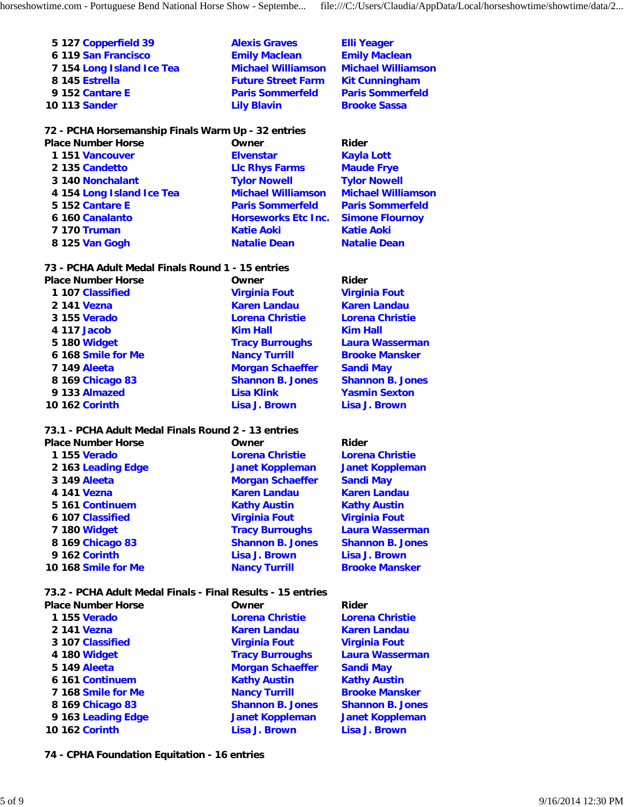| 5 127 Copperfield 39      | <b>Alexis Graves</b>      | <b>Elli Yeager</b>        |
|---------------------------|---------------------------|---------------------------|
| 6 119 San Francisco       | <b>Emily Maclean</b>      | <b>Emily Maclean</b>      |
| 7 154 Long Island Ice Tea | <b>Michael Williamson</b> | <b>Michael Williamson</b> |
| 8 145 Estrella            | <b>Future Street Farm</b> | <b>Kit Cunningham</b>     |
| 9 152 Cantare E           | <b>Paris Sommerfeld</b>   | <b>Paris Sommerfeld</b>   |
| 10 113 Sander             | <b>Lily Blavin</b>        | <b>Brooke Sassa</b>       |

#### **72 - PCHA Horsemanship Finals Warm Up - 32 entries**

| <b>Place Number Horse</b> | Owner                      | Rider                     |
|---------------------------|----------------------------|---------------------------|
| 1151 Vancouver            | <b>Elvenstar</b>           | <b>Kayla Lott</b>         |
| 2 135 Candetto            | <b>LIc Rhys Farms</b>      | <b>Maude Frye</b>         |
| 3 140 Nonchalant          | <b>Tylor Nowell</b>        | <b>Tylor Nowell</b>       |
| 4 154 Long Island Ice Tea | <b>Michael Williamson</b>  | <b>Michael Williamson</b> |
| 5 152 Cantare E           | <b>Paris Sommerfeld</b>    | <b>Paris Sommerfeld</b>   |
| 6 160 Canalanto           | <b>Horseworks Etc Inc.</b> | <b>Simone Flournoy</b>    |
| <b>7 170 Truman</b>       | <b>Katie Aoki</b>          | <b>Katie Aoki</b>         |
| 8 125 Van Gogh            | <b>Natalie Dean</b>        | <b>Natalie Dean</b>       |
|                           |                            |                           |

#### **73 - PCHA Adult Medal Finals Round 1 - 15 entries**

| <b>Virginia Fout</b><br><b>Virginia Fout</b><br>1 107 Classified       |  |
|------------------------------------------------------------------------|--|
|                                                                        |  |
| <b>Karen Landau</b><br><b>Karen Landau</b><br>2 141 Vezna              |  |
| 3 155 Verado<br><b>Lorena Christie</b><br><b>Lorena Christie</b>       |  |
| <b>Kim Hall</b><br>4 117 Jacob<br><b>Kim Hall</b>                      |  |
| 5 180 Widget<br><b>Tracy Burroughs</b><br><b>Laura Wasserman</b>       |  |
| 6 168 Smile for Me<br><b>Nancy Turrill</b><br><b>Brooke Mansker</b>    |  |
| <b>Morgan Schaeffer</b><br><b>7 149 Aleeta</b><br><b>Sandi May</b>     |  |
| <b>Shannon B. Jones</b><br><b>Shannon B. Jones</b><br>8 169 Chicago 83 |  |
| 9 133 Almazed<br><b>Lisa Klink</b><br><b>Yasmin Sexton</b>             |  |
| Lisa J. Brown<br><b>10 162 Corinth</b><br><b>Lisa J. Brown</b>         |  |

#### **73.1 - PCHA Adult Medal Finals Round 2 - 13 entries**

| <b>Place Number Horse</b> | Owner                   | Rider                   |
|---------------------------|-------------------------|-------------------------|
| 1 155 Verado              | <b>Lorena Christie</b>  | <b>Lorena Christie</b>  |
| 2 163 Leading Edge        | <b>Janet Koppleman</b>  | <b>Janet Koppleman</b>  |
| 3 149 Aleeta              | <b>Morgan Schaeffer</b> | <b>Sandi May</b>        |
| 4 141 Vezna               | <b>Karen Landau</b>     | <b>Karen Landau</b>     |
| 5 161 Continuem           | <b>Kathy Austin</b>     | <b>Kathy Austin</b>     |
| 6 107 Classified          | <b>Virginia Fout</b>    | <b>Virginia Fout</b>    |
| 7 180 Widget              | <b>Tracy Burroughs</b>  | <b>Laura Wasserman</b>  |
| 8 169 Chicago 83          | <b>Shannon B. Jones</b> | <b>Shannon B. Jones</b> |
| 9 162 Corinth             | Lisa J. Brown           | Lisa J. Brown           |
| 10 168 Smile for Me       | <b>Nancy Turrill</b>    | <b>Brooke Mansker</b>   |

**73.2 - PCHA Adult Medal Finals - Final Results - 15 entries**

| <b>Place Number Horse</b> | Owner                   | Rider                   |  |
|---------------------------|-------------------------|-------------------------|--|
| 1 155 Verado              | <b>Lorena Christie</b>  | <b>Lorena Christie</b>  |  |
| 2 141 Vezna               | <b>Karen Landau</b>     | <b>Karen Landau</b>     |  |
| 3 107 Classified          | <b>Virginia Fout</b>    | <b>Virginia Fout</b>    |  |
| 4 180 Widget              | <b>Tracy Burroughs</b>  | <b>Laura Wasserman</b>  |  |
| <b>5 149 Aleeta</b>       | <b>Morgan Schaeffer</b> | <b>Sandi May</b>        |  |
| 6 161 Continuem           | <b>Kathy Austin</b>     | <b>Kathy Austin</b>     |  |
| 7 168 Smile for Me        | <b>Nancy Turrill</b>    | <b>Brooke Mansker</b>   |  |
| 8 169 Chicago 83          | <b>Shannon B. Jones</b> | <b>Shannon B. Jones</b> |  |
| 9 163 Leading Edge        | <b>Janet Koppleman</b>  | <b>Janet Koppleman</b>  |  |
| <b>10 162 Corinth</b>     | <b>Lisa J. Brown</b>    | <b>Lisa J. Brown</b>    |  |

**74 - CPHA Foundation Equitation - 16 entries**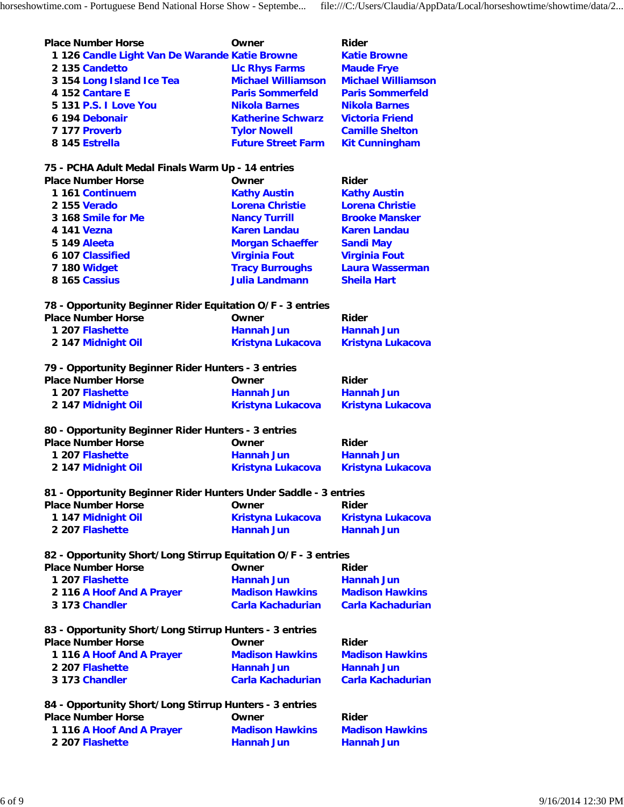| <b>Place Number Horse</b>                                                                                                            | Owner                                              | Rider                                              |
|--------------------------------------------------------------------------------------------------------------------------------------|----------------------------------------------------|----------------------------------------------------|
| 1 126 Candle Light Van De Warande Katie Browne                                                                                       |                                                    | <b>Katie Browne</b>                                |
| 2 135 Candetto                                                                                                                       | <b>LIc Rhys Farms</b>                              | <b>Maude Frye</b>                                  |
| 3 154 Long Island Ice Tea                                                                                                            | <b>Michael Williamson</b>                          | <b>Michael Williamson</b>                          |
| 4 152 Cantare E                                                                                                                      | <b>Paris Sommerfeld</b>                            | <b>Paris Sommerfeld</b>                            |
|                                                                                                                                      |                                                    |                                                    |
| 5 131 P.S. I Love You                                                                                                                | <b>Nikola Barnes</b>                               | <b>Nikola Barnes</b>                               |
| 6 194 Debonair                                                                                                                       | <b>Katherine Schwarz</b>                           | <b>Victoria Friend</b>                             |
| 7 177 Proverb                                                                                                                        | <b>Tylor Nowell</b>                                | <b>Camille Shelton</b>                             |
| 8 145 Estrella                                                                                                                       | <b>Future Street Farm</b>                          | <b>Kit Cunningham</b>                              |
| 75 - PCHA Adult Medal Finals Warm Up - 14 entries                                                                                    |                                                    |                                                    |
| <b>Place Number Horse</b>                                                                                                            | Owner                                              | Rider                                              |
| 1 161 Continuem                                                                                                                      | <b>Kathy Austin</b>                                | <b>Kathy Austin</b>                                |
| 2 155 Verado                                                                                                                         | <b>Lorena Christie</b>                             | <b>Lorena Christie</b>                             |
| 3 168 Smile for Me                                                                                                                   | <b>Nancy Turrill</b>                               | <b>Brooke Mansker</b>                              |
| 4 141 Vezna                                                                                                                          | <b>Karen Landau</b>                                | <b>Karen Landau</b>                                |
| <b>5 149 Aleeta</b>                                                                                                                  | <b>Morgan Schaeffer</b>                            | <b>Sandi May</b>                                   |
| 6 107 Classified                                                                                                                     | <b>Virginia Fout</b>                               | <b>Virginia Fout</b>                               |
| 7 180 Widget                                                                                                                         | <b>Tracy Burroughs</b>                             | <b>Laura Wasserman</b>                             |
| 8 165 Cassius                                                                                                                        | <b>Julia Landmann</b>                              | <b>Sheila Hart</b>                                 |
| 78 - Opportunity Beginner Rider Equitation O/F - 3 entries                                                                           |                                                    |                                                    |
| <b>Place Number Horse</b>                                                                                                            | Owner                                              | Rider                                              |
| 1 207 Flashette                                                                                                                      | <b>Hannah Jun</b>                                  | <b>Hannah Jun</b>                                  |
| 2 147 Midnight Oil                                                                                                                   | <b>Kristyna Lukacova</b>                           | <b>Kristyna Lukacova</b>                           |
|                                                                                                                                      |                                                    |                                                    |
| 79 - Opportunity Beginner Rider Hunters - 3 entries                                                                                  |                                                    |                                                    |
| <b>Place Number Horse</b>                                                                                                            | Owner                                              | Rider                                              |
| 1 207 Flashette                                                                                                                      | <b>Hannah Jun</b>                                  | <b>Hannah Jun</b>                                  |
| 2 147 Midnight Oil                                                                                                                   | <b>Kristyna Lukacova</b>                           | <b>Kristyna Lukacova</b>                           |
| 80 - Opportunity Beginner Rider Hunters - 3 entries                                                                                  |                                                    |                                                    |
| <b>Place Number Horse</b>                                                                                                            | Owner                                              | Rider                                              |
| 1 207 Flashette                                                                                                                      | <b>Hannah Jun</b>                                  | <b>Hannah Jun</b>                                  |
| 2 147 Midnight Oil                                                                                                                   | Kristyna Lukacova                                  | <b>Kristyna Lukacova</b>                           |
| 81 - Opportunity Beginner Rider Hunters Under Saddle - 3 entries                                                                     |                                                    |                                                    |
| <b>Place Number Horse</b>                                                                                                            | Owner                                              | <b>Rider</b>                                       |
| 1 147 Midnight Oil                                                                                                                   | Kristyna Lukacova                                  | <b>Kristyna Lukacova</b>                           |
| 2 207 Flashette                                                                                                                      | <b>Hannah Jun</b>                                  | <b>Hannah Jun</b>                                  |
|                                                                                                                                      |                                                    |                                                    |
| 82 - Opportunity Short/Long Stirrup Equitation O/F - 3 entries                                                                       |                                                    |                                                    |
| <b>Place Number Horse</b>                                                                                                            | Owner                                              | <b>Rider</b>                                       |
| 1 207 Flashette                                                                                                                      | <b>Hannah Jun</b>                                  | <b>Hannah Jun</b>                                  |
| 2 116 A Hoof And A Prayer                                                                                                            | <b>Madison Hawkins</b><br><b>Carla Kachadurian</b> | <b>Madison Hawkins</b><br><b>Carla Kachadurian</b> |
|                                                                                                                                      |                                                    |                                                    |
| 3 173 Chandler                                                                                                                       |                                                    |                                                    |
|                                                                                                                                      |                                                    |                                                    |
|                                                                                                                                      | Owner                                              | Rider                                              |
| 83 - Opportunity Short/Long Stirrup Hunters - 3 entries<br><b>Place Number Horse</b><br>1 116 A Hoof And A Prayer<br>2 207 Flashette | <b>Madison Hawkins</b><br><b>Hannah Jun</b>        | <b>Madison Hawkins</b><br><b>Hannah Jun</b>        |

| 84 - Opportunity Short/Long Stirrup Hunters - 3 entries |                        |                        |
|---------------------------------------------------------|------------------------|------------------------|
| <b>Place Number Horse</b>                               | Owner                  | Rider                  |
| 1 116 A Hoof And A Prayer                               | <b>Madison Hawkins</b> | <b>Madison Hawkins</b> |
| 2 207 Flashette                                         | <b>Hannah Jun</b>      | <b>Hannah Jun</b>      |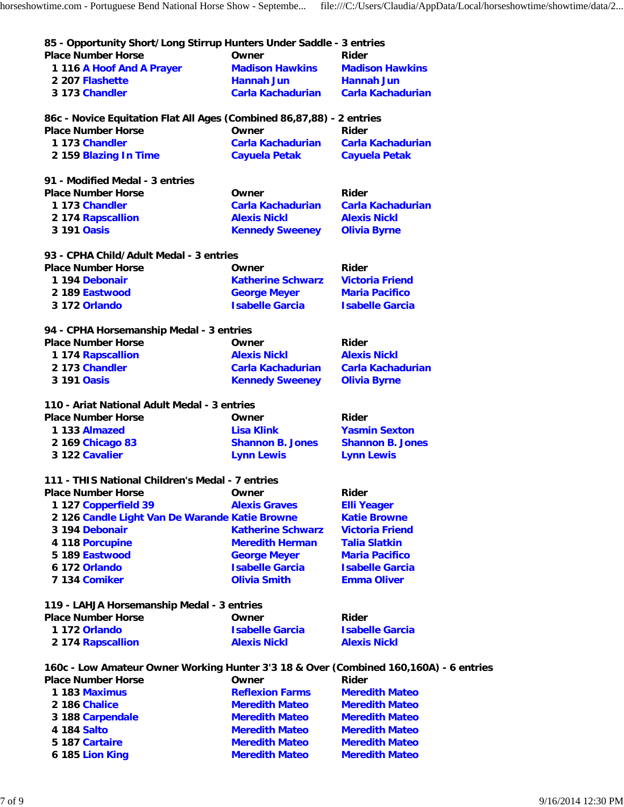| 85 - Opportunity Short/Long Stirrup Hunters Under Saddle - 3 entries<br><b>Place Number Horse</b> | Owner                                         | Rider                                        |
|---------------------------------------------------------------------------------------------------|-----------------------------------------------|----------------------------------------------|
| 1 116 A Hoof And A Prayer                                                                         | <b>Madison Hawkins</b>                        | <b>Madison Hawkins</b>                       |
| 2 207 Flashette                                                                                   | Hannah Jun                                    | <b>Hannah Jun</b>                            |
| 3 173 Chandler                                                                                    | Carla Kachadurian                             | Carla Kachadurian                            |
| 86c - Novice Equitation Flat All Ages (Combined 86,87,88) - 2 entries                             |                                               |                                              |
| <b>Place Number Horse</b>                                                                         | Owner                                         | Rider                                        |
| 1 173 Chandler                                                                                    | Carla Kachadurian                             | <b>Carla Kachadurian</b>                     |
| 2 159 Blazing In Time                                                                             | <b>Cayuela Petak</b>                          | <b>Cayuela Petak</b>                         |
| 91 - Modified Medal - 3 entries                                                                   |                                               |                                              |
| <b>Place Number Horse</b>                                                                         | Owner                                         | Rider                                        |
| 1 173 Chandler                                                                                    | Carla Kachadurian                             | Carla Kachadurian                            |
| 2 174 Rapscallion                                                                                 | <b>Alexis Nickl</b>                           | <b>Alexis Nickl</b>                          |
| 3 191 Oasis                                                                                       | <b>Kennedy Sweeney</b>                        | <b>Olivia Byrne</b>                          |
| 93 - CPHA Child/Adult Medal - 3 entries                                                           |                                               |                                              |
| <b>Place Number Horse</b>                                                                         | Owner                                         | Rider                                        |
| 1 194 Debonair                                                                                    | <b>Katherine Schwarz</b>                      | <b>Victoria Friend</b>                       |
| 2 189 Eastwood                                                                                    | <b>George Meyer</b>                           | <b>Maria Pacifico</b>                        |
| 3 172 Orlando                                                                                     | <b>Isabelle Garcia</b>                        | <b>Isabelle Garcia</b>                       |
| 94 - CPHA Horsemanship Medal - 3 entries                                                          |                                               |                                              |
| <b>Place Number Horse</b>                                                                         | Owner                                         | Rider                                        |
| 1 174 Rapscallion                                                                                 | <b>Alexis Nickl</b>                           | <b>Alexis Nickl</b>                          |
| 2 173 Chandler                                                                                    | Carla Kachadurian                             | <b>Carla Kachadurian</b>                     |
| 3 191 Oasis                                                                                       | <b>Kennedy Sweeney</b>                        | <b>Olivia Byrne</b>                          |
| 110 - Ariat National Adult Medal - 3 entries                                                      |                                               |                                              |
| <b>Place Number Horse</b>                                                                         | Owner                                         | Rider                                        |
| 1 133 Almazed                                                                                     | <b>Lisa Klink</b>                             | <b>Yasmin Sexton</b>                         |
| 2 169 Chicago 83                                                                                  | <b>Shannon B. Jones</b>                       | <b>Shannon B. Jones</b>                      |
| 3 122 Cavalier                                                                                    | <b>Lynn Lewis</b>                             | <b>Lynn Lewis</b>                            |
| 111 - THIS National Children's Medal - 7 entries                                                  |                                               |                                              |
| <b>Place Number Horse</b>                                                                         | Owner                                         | Rider                                        |
| 1 127 Copperfield 39                                                                              | <b>Alexis Graves</b>                          | <b>Elli Yeager</b>                           |
| 2 126 Candle Light Van De Warande Katie Browne                                                    |                                               | <b>Katie Browne</b>                          |
| 3 194 Debonair                                                                                    | <b>Katherine Schwarz</b>                      | <b>Victoria Friend</b>                       |
| 4 118 Porcupine                                                                                   | <b>Meredith Herman</b>                        | <b>Talia Slatkin</b>                         |
| 5 189 Eastwood                                                                                    | <b>George Meyer</b>                           | <b>Maria Pacifico</b>                        |
| 6 172 Orlando<br>7 134 Comiker                                                                    | <b>Isabelle Garcia</b><br><b>Olivia Smith</b> | <b>Isabelle Garcia</b><br><b>Emma Oliver</b> |
|                                                                                                   |                                               |                                              |
| 119 - LAHJA Horsemanship Medal - 3 entries                                                        |                                               |                                              |
| <b>Place Number Horse</b>                                                                         | Owner                                         | Rider                                        |
| 1 172 Orlando                                                                                     | <b>Isabelle Garcia</b>                        | <b>Isabelle Garcia</b>                       |
| 2 174 Rapscallion                                                                                 | <b>Alexis Nickl</b>                           | <b>Alexis Nickl</b>                          |
| 160c - Low Amateur Owner Working Hunter 3'3 18 & Over (Combined 160,160A) - 6 entries             |                                               |                                              |
| <b>Place Number Horse</b>                                                                         | Owner                                         | <b>Rider</b>                                 |
| 1 183 Maximus                                                                                     | <b>Reflexion Farms</b>                        | <b>Meredith Mateo</b>                        |
| 2 186 Chalice                                                                                     | <b>Meredith Mateo</b>                         | <b>Meredith Mateo</b>                        |
| 3 188 Carpendale                                                                                  | <b>Meredith Mateo</b>                         | <b>Meredith Mateo</b>                        |
| 4 184 Salto                                                                                       | <b>Meredith Mateo</b>                         | <b>Meredith Mateo</b>                        |
| 5 187 Cartaire                                                                                    | <b>Meredith Mateo</b>                         | <b>Meredith Mateo</b>                        |

**6 185 Lion King Meredith Mateo Meredith Mateo**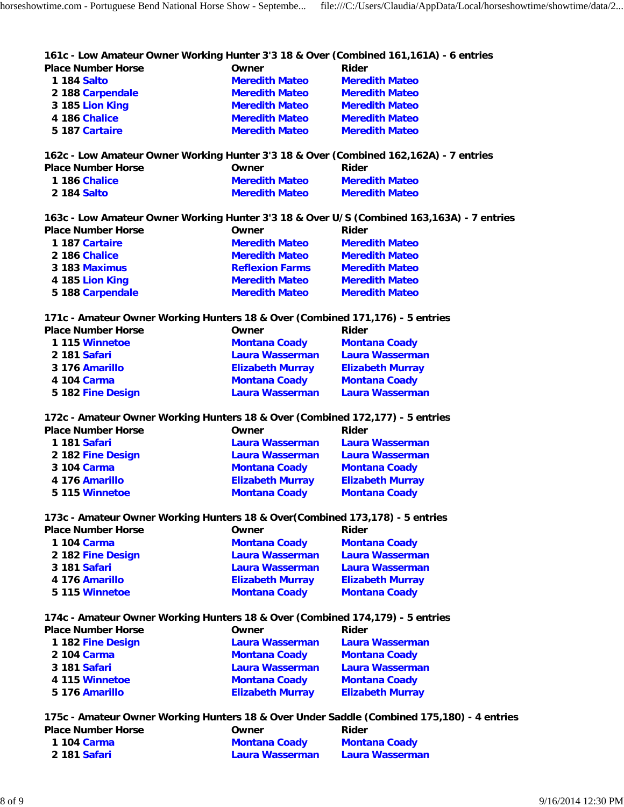**161c - Low Amateur Owner Working Hunter 3'3 18 & Over (Combined 161,161A) - 6 entries**

| <b>Place Number Horse</b> | Owner                 | Rider                 |
|---------------------------|-----------------------|-----------------------|
| 1 184 Salto               | <b>Meredith Mateo</b> | <b>Meredith Mateo</b> |
| 2 188 Carpendale          | <b>Meredith Mateo</b> | <b>Meredith Mateo</b> |
| 3 185 Lion King           | <b>Meredith Mateo</b> | <b>Meredith Mateo</b> |
| 4 186 Chalice             | <b>Meredith Mateo</b> | <b>Meredith Mateo</b> |
| 5 187 Cartaire            | <b>Meredith Mateo</b> | <b>Meredith Mateo</b> |
|                           |                       |                       |

**162c - Low Amateur Owner Working Hunter 3'3 18 & Over (Combined 162,162A) - 7 entries**

| Place Number Horse | Owner                 | Rider                 |
|--------------------|-----------------------|-----------------------|
| 1 186 Chalice      | <b>Meredith Mateo</b> | <b>Meredith Mateo</b> |
| 2 184 Salto        | <b>Meredith Mateo</b> | <b>Meredith Mateo</b> |

**163c - Low Amateur Owner Working Hunter 3'3 18 & Over U/S (Combined 163,163A) - 7 entries**

| <b>Place Number Horse</b> | Owner                  | Rider                 |
|---------------------------|------------------------|-----------------------|
| 1 187 Cartaire            | <b>Meredith Mateo</b>  | <b>Meredith Mateo</b> |
| 2 186 Chalice             | <b>Meredith Mateo</b>  | <b>Meredith Mateo</b> |
| 3 183 Maximus             | <b>Reflexion Farms</b> | <b>Meredith Mateo</b> |
| 4 185 Lion King           | <b>Meredith Mateo</b>  | <b>Meredith Mateo</b> |
| 5 188 Carpendale          | <b>Meredith Mateo</b>  | <b>Meredith Mateo</b> |

**171c - Amateur Owner Working Hunters 18 & Over (Combined 171,176) - 5 entries**

| <b>Place Number Horse</b> | Owner                   | Rider                   |
|---------------------------|-------------------------|-------------------------|
| 1 115 Winnetoe            | <b>Montana Coady</b>    | <b>Montana Coady</b>    |
| 2 181 Safari              | Laura Wasserman         | Laura Wasserman         |
| 3 176 Amarillo            | <b>Elizabeth Murray</b> | <b>Elizabeth Murray</b> |
| 4 104 Carma               | <b>Montana Coady</b>    | <b>Montana Coady</b>    |
| 5 182 Fine Design         | Laura Wasserman         | Laura Wasserman         |

**172c - Amateur Owner Working Hunters 18 & Over (Combined 172,177) - 5 entries**

| <b>Place Number Horse</b> | Owner                   | Rider                   |
|---------------------------|-------------------------|-------------------------|
| 1 181 Safari              | Laura Wasserman         | Laura Wasserman         |
| 2 182 Fine Design         | Laura Wasserman         | Laura Wasserman         |
| 3 104 Carma               | <b>Montana Coady</b>    | <b>Montana Coady</b>    |
| 4 176 Amarillo            | <b>Elizabeth Murray</b> | <b>Elizabeth Murray</b> |
| 5 115 Winnetoe            | <b>Montana Coady</b>    | <b>Montana Coady</b>    |
|                           |                         |                         |

**173c - Amateur Owner Working Hunters 18 & Over(Combined 173,178) - 5 entries**

| Owner                   | Rider                   |
|-------------------------|-------------------------|
| <b>Montana Coady</b>    | <b>Montana Coady</b>    |
| Laura Wasserman         | <b>Laura Wasserman</b>  |
| Laura Wasserman         | <b>Laura Wasserman</b>  |
| <b>Elizabeth Murray</b> | <b>Elizabeth Murray</b> |
| <b>Montana Coady</b>    | <b>Montana Coady</b>    |
|                         |                         |

#### **174c - Amateur Owner Working Hunters 18 & Over (Combined 174,179) - 5 entries**

| <b>Place Number Horse</b> | Owner                   | Rider                   |
|---------------------------|-------------------------|-------------------------|
| 1 182 Fine Design         | Laura Wasserman         | Laura Wasserman         |
| 2 104 Carma               | <b>Montana Coady</b>    | <b>Montana Coady</b>    |
| 3 181 Safari              | Laura Wasserman         | Laura Wasserman         |
| 4 115 Winnetoe            | <b>Montana Coady</b>    | <b>Montana Coady</b>    |
| 5 176 Amarillo            | <b>Elizabeth Murray</b> | <b>Elizabeth Murray</b> |

#### **175c - Amateur Owner Working Hunters 18 & Over Under Saddle (Combined 175,180) - 4 entries**

| <b>Place Number Horse</b> | Owner                | Rider                |
|---------------------------|----------------------|----------------------|
| 1 104 Carma               | <b>Montana Coady</b> | <b>Montana Coady</b> |
| 2 181 Safari              | Laura Wasserman      | Laura Wasserman      |